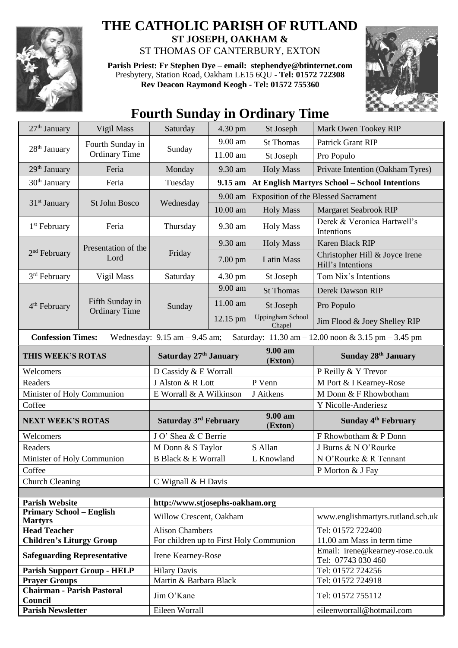

## **THE CATHOLIC PARISH OF RUTLAND ST JOSEPH, OAKHAM &**

ST THOMAS OF CANTERBURY, EXTON

**Parish Priest: Fr Stephen Dye** – **[email: stephendye@btinternet.com](mailto:email:%20%20stephendye@btinternet.com)** Presbytery, Station Road, Oakham LE15 6QU - **Tel: 01572 722308 Rev Deacon Raymond Keogh - Tel: 01572 755360**



## **Fourth Sunday in Ordinary Time**

| 27 <sup>th</sup> January                                                                                            | Vigil Mass                               | Saturday                                | 4.30 pm   | St Joseph                                            | Mark Owen Tookey RIP                                  |  |
|---------------------------------------------------------------------------------------------------------------------|------------------------------------------|-----------------------------------------|-----------|------------------------------------------------------|-------------------------------------------------------|--|
| 28 <sup>th</sup> January                                                                                            | Fourth Sunday in<br><b>Ordinary Time</b> | Sunday                                  | 9.00 am   | <b>St Thomas</b>                                     | Patrick Grant RIP                                     |  |
|                                                                                                                     |                                          |                                         | 11.00 am  | St Joseph                                            | Pro Populo                                            |  |
| $29th$ January                                                                                                      | Feria                                    | Monday                                  | 9.30 am   | <b>Holy Mass</b>                                     | Private Intention (Oakham Tyres)                      |  |
| $30th$ January<br>Feria                                                                                             |                                          | Tuesday                                 | 9.15 am   | <b>At English Martyrs School - School Intentions</b> |                                                       |  |
| 31 <sup>st</sup> January                                                                                            | St John Bosco                            | Wednesday                               | 9.00 am   | <b>Exposition of the Blessed Sacrament</b>           |                                                       |  |
|                                                                                                                     |                                          |                                         | 10.00 am  | <b>Holy Mass</b>                                     | <b>Margaret Seabrook RIP</b>                          |  |
| 1 <sup>st</sup> February                                                                                            | Feria                                    | Thursday                                | 9.30 am   | <b>Holy Mass</b>                                     | Derek & Veronica Hartwell's<br>Intentions             |  |
| $2nd$ February                                                                                                      | Presentation of the<br>Lord              | Friday                                  | 9.30 am   | <b>Holy Mass</b>                                     | Karen Black RIP                                       |  |
|                                                                                                                     |                                          |                                         | $7.00$ pm | <b>Latin Mass</b>                                    | Christopher Hill & Joyce Irene<br>Hill's Intentions   |  |
| 3 <sup>rd</sup> February                                                                                            | Vigil Mass                               | Saturday                                | 4.30 pm   | St Joseph                                            | Tom Nix's Intentions                                  |  |
| 4 <sup>th</sup> February                                                                                            | Fifth Sunday in<br><b>Ordinary Time</b>  | Sunday                                  | 9.00 am   | <b>St Thomas</b>                                     | Derek Dawson RIP                                      |  |
|                                                                                                                     |                                          |                                         | 11.00 am  | St Joseph                                            | Pro Populo                                            |  |
|                                                                                                                     |                                          |                                         | 12.15 pm  | Uppingham School<br>Chapel                           | Jim Flood & Joey Shelley RIP                          |  |
| <b>Confession Times:</b><br>Wednesday: $9.15$ am $-9.45$ am;<br>Saturday: 11.30 am - 12.00 noon & 3.15 pm - 3.45 pm |                                          |                                         |           |                                                      |                                                       |  |
| THIS WEEK'S ROTAS                                                                                                   |                                          | Saturday 27th January                   |           | 9.00 am<br>(Exton)                                   | <b>Sunday 28th January</b>                            |  |
| Welcomers                                                                                                           |                                          | D Cassidy & E Worrall                   |           |                                                      | P Reilly & Y Trevor                                   |  |
| Readers                                                                                                             |                                          | J Alston & R Lott                       |           | P Venn                                               | M Port & I Kearney-Rose                               |  |
| Minister of Holy Communion                                                                                          |                                          | E Worrall & A Wilkinson                 |           | J Aitkens                                            | M Donn & F Rhowbotham                                 |  |
| Coffee                                                                                                              |                                          |                                         |           |                                                      | Y Nicolle-Anderiesz                                   |  |
| <b>NEXT WEEK'S ROTAS</b>                                                                                            |                                          | Saturday 3rd February                   |           | 9.00 am<br>(Exton)                                   | Sunday 4 <sup>th</sup> February                       |  |
| Welcomers                                                                                                           |                                          | J O' Shea & C Berrie                    |           |                                                      | F Rhowbotham & P Donn                                 |  |
| Readers                                                                                                             |                                          | M Donn & S Taylor                       |           | S Allan                                              | J Burns & N O'Rourke                                  |  |
| Minister of Holy Communion                                                                                          |                                          | <b>B Black &amp; E Worrall</b>          |           | L Knowland                                           | N O'Rourke & R Tennant                                |  |
| Coffee                                                                                                              |                                          |                                         |           |                                                      | P Morton & J Fay                                      |  |
| <b>Church Cleaning</b>                                                                                              |                                          | C Wignall & H Davis                     |           |                                                      |                                                       |  |
| <b>Parish Website</b><br>http://www.stjosephs-oakham.org                                                            |                                          |                                         |           |                                                      |                                                       |  |
| <b>Primary School - English</b><br><b>Martyrs</b>                                                                   |                                          | Willow Crescent, Oakham                 |           |                                                      | www.englishmartyrs.rutland.sch.uk                     |  |
| <b>Head Teacher</b>                                                                                                 |                                          | <b>Alison Chambers</b>                  |           |                                                      | Tel: 01572 722400                                     |  |
| <b>Children's Liturgy Group</b>                                                                                     |                                          | For children up to First Holy Communion |           |                                                      | 11.00 am Mass in term time                            |  |
| <b>Safeguarding Representative</b>                                                                                  |                                          | Irene Kearney-Rose                      |           |                                                      | Email: irene@kearney-rose.co.uk<br>Tel: 07743 030 460 |  |
| <b>Parish Support Group - HELP</b>                                                                                  |                                          | <b>Hilary Davis</b>                     |           |                                                      | Tel: 01572 724256                                     |  |
| <b>Prayer Groups</b>                                                                                                |                                          | Martin & Barbara Black                  |           |                                                      | Tel: 01572 724918                                     |  |
| <b>Chairman - Parish Pastoral</b><br>Council                                                                        |                                          | Jim O'Kane                              |           |                                                      | Tel: 01572 755112                                     |  |
| <b>Parish Newsletter</b>                                                                                            |                                          | Eileen Worrall                          |           |                                                      | eileenworrall@hotmail.com                             |  |